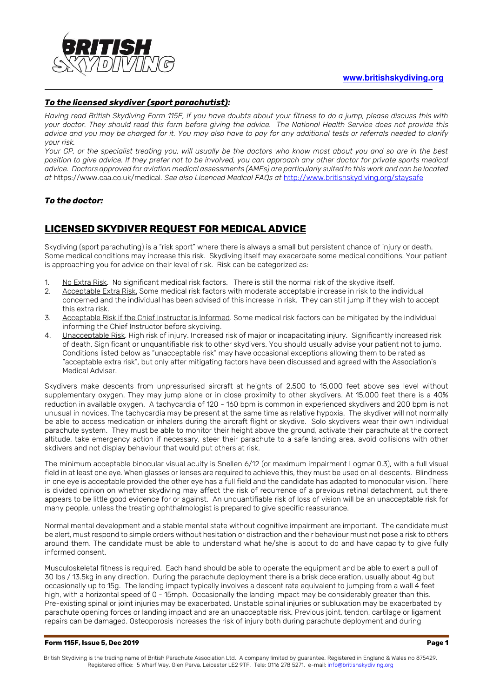

### *To the licensed skydiver (sport parachutist):*

*Having read British Skydiving Form 115E, if you have doubts about your fitness to do a jump, please discuss this with your doctor. They should read this form before giving the advice. The National Health Service does not provide this advice and you may be charged for it. You may also have to pay for any additional tests or referrals needed to clarify your risk.* 

*Your GP, or the specialist treating you, will usually be the doctors who know most about you and so are in the best position to give advice. If they prefer not to be involved, you can approach any other doctor for private sports medical advice. Doctors approved for aviation medical assessments (AMEs) are particularly suited to this work and can be located at* https://www.caa.co.uk/medical*. See also Licenced Medical FAQs at* <http://www.britishskydiving.org/staysafe>

### *To the doctor:*

## **LICENSED SKYDIVER REQUEST FOR MEDICAL ADVICE**

Skydiving (sport parachuting) is a "risk sport" where there is always a small but persistent chance of injury or death. Some medical conditions may increase this risk. Skydiving itself may exacerbate some medical conditions. Your patient is approaching you for advice on their level of risk. Risk can be categorized as:

- 1. No Extra Risk. No significant medical risk factors. There is still the normal risk of the skydive itself.
- 2. Acceptable Extra Risk. Some medical risk factors with moderate acceptable increase in risk to the individual concerned and the individual has been advised of this increase in risk. They can still jump if they wish to accept this extra risk.
- 3. Acceptable Risk if the Chief Instructor is Informed. Some medical risk factors can be mitigated by the individual informing the Chief Instructor before skydiving.
- 4. Unacceptable Risk. High risk of injury. Increased risk of major or incapacitating injury. Significantly increased risk of death. Significant or unquantifiable risk to other skydivers. You should usually advise your patient not to jump. Conditions listed below as "unacceptable risk" may have occasional exceptions allowing them to be rated as "acceptable extra risk", but only after mitigating factors have been discussed and agreed with the Association's Medical Adviser.

Skydivers make descents from unpressurised aircraft at heights of 2,500 to 15,000 feet above sea level without supplementary oxygen. They may jump alone or in close proximity to other skydivers. At 15,000 feet there is a 40% reduction in available oxygen. A tachycardia of 120 - 160 bpm is common in experienced skydivers and 200 bpm is not unusual in novices. The tachycardia may be present at the same time as relative hypoxia. The skydiver will not normally be able to access medication or inhalers during the aircraft flight or skydive. Solo skydivers wear their own individual parachute system. They must be able to monitor their height above the ground, activate their parachute at the correct altitude, take emergency action if necessary, steer their parachute to a safe landing area, avoid collisions with other skdivers and not display behaviour that would put others at risk.

The minimum acceptable binocular visual acuity is Snellen 6/12 (or maximum impairment Logmar 0.3), with a full visual field in at least one eye. When glasses or lenses are required to achieve this, they must be used on all descents. Blindness in one eye is acceptable provided the other eye has a full field and the candidate has adapted to monocular vision. There is divided opinion on whether skydiving may affect the risk of recurrence of a previous retinal detachment, but there appears to be little good evidence for or against. An unquantifiable risk of loss of vision will be an unacceptable risk for many people, unless the treating ophthalmologist is prepared to give specific reassurance.

Normal mental development and a stable mental state without cognitive impairment are important. The candidate must be alert, must respond to simple orders without hesitation or distraction and their behaviour must not pose a risk to others around them. The candidate must be able to understand what he/she is about to do and have capacity to give fully informed consent.

Musculoskeletal fitness is required. Each hand should be able to operate the equipment and be able to exert a pull of 30 lbs / 13.5kg in any direction. During the parachute deployment there is a brisk deceleration, usually about 4g but occasionally up to 15g. The landing impact typically involves a descent rate equivalent to jumping from a wall 4 feet high, with a horizontal speed of 0 - 15mph. Occasionally the landing impact may be considerably greater than this. Pre-existing spinal or joint injuries may be exacerbated. Unstable spinal injuries or subluxation may be exacerbated by parachute opening forces or landing impact and are an unacceptable risk. Previous joint, tendon, cartilage or ligament repairs can be damaged. Osteoporosis increases the risk of injury both during parachute deployment and during

### **Form 115F, Issue 5, Dec 2019 Page 1**

British Skydiving is the trading name of British Parachute Association Ltd. A company limited by guarantee. Registered in England & Wales no 875429. Registered office: 5 Wharf Way, Glen Parva, Leicester LE2 9TF. Tele: 0116 278 5271. e-mail[: info@britishskydiving.org](mailto:skydive@britishskydiving.org)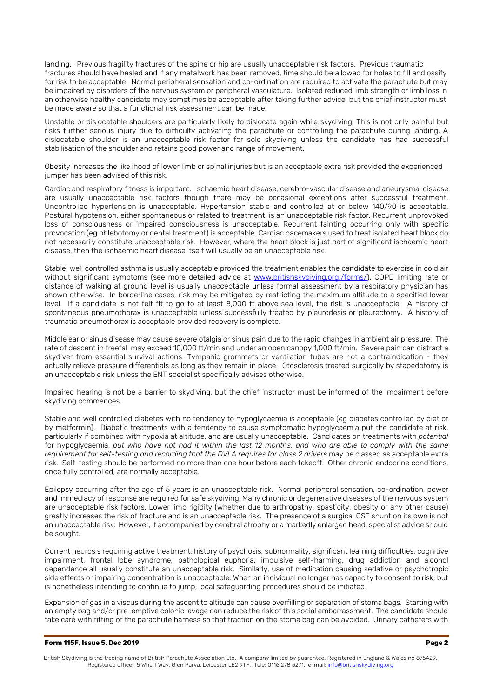landing. Previous fragility fractures of the spine or hip are usually unacceptable risk factors. Previous traumatic fractures should have healed and if any metalwork has been removed, time should be allowed for holes to fill and ossify for risk to be acceptable. Normal peripheral sensation and co-ordination are required to activate the parachute but may be impaired by disorders of the nervous system or peripheral vasculature. Isolated reduced limb strength or limb loss in an otherwise healthy candidate may sometimes be acceptable after taking further advice, but the chief instructor must be made aware so that a functional risk assessment can be made.

Unstable or dislocatable shoulders are particularly likely to dislocate again while skydiving. This is not only painful but risks further serious injury due to difficulty activating the parachute or controlling the parachute during landing. A dislocatable shoulder is an unacceptable risk factor for solo skydiving unless the candidate has had successful stabilisation of the shoulder and retains good power and range of movement.

Obesity increases the likelihood of lower limb or spinal injuries but is an acceptable extra risk provided the experienced jumper has been advised of this risk.

Cardiac and respiratory fitness is important. Ischaemic heart disease, cerebro-vascular disease and aneurysmal disease are usually unacceptable risk factors though there may be occasional exceptions after successful treatment. Uncontrolled hypertension is unacceptable. Hypertension stable and controlled at or below 140/90 is acceptable. Postural hypotension, either spontaneous or related to treatment, is an unacceptable risk factor. Recurrent unprovoked loss of consciousness or impaired consciousness is unacceptable. Recurrent fainting occurring only with specific provocation (eg phlebotomy or dental treatment) is acceptable. Cardiac pacemakers used to treat isolated heart block do not necessarily constitute unacceptable risk. However, where the heart block is just part of significant ischaemic heart disease, then the ischaemic heart disease itself will usually be an unacceptable risk.

Stable, well controlled asthma is usually acceptable provided the treatment enables the candidate to exercise in cold air without significant symptoms (see more detailed advice at [www.britishskydiving.org./forms/\)](http://www.britishskydiving.org./forms/). COPD limiting rate or distance of walking at ground level is usually unacceptable unless formal assessment by a respiratory physician has shown otherwise. In borderline cases, risk may be mitigated by restricting the maximum altitude to a specified lower level. If a candidate is not felt fit to go to at least 8,000 ft above sea level, the risk is unacceptable. A history of spontaneous pneumothorax is unacceptable unless successfully treated by pleurodesis or pleurectomy. A history of traumatic pneumothorax is acceptable provided recovery is complete.

Middle ear or sinus disease may cause severe otalgia or sinus pain due to the rapid changes in ambient air pressure. The rate of descent in freefall may exceed 10,000 ft/min and under an open canopy 1,000 ft/min. Severe pain can distract a skydiver from essential survival actions. Tympanic grommets or ventilation tubes are not a contraindication - they actually relieve pressure differentials as long as they remain in place. Otosclerosis treated surgically by stapedotomy is an unacceptable risk unless the ENT specialist specifically advises otherwise.

Impaired hearing is not be a barrier to skydiving, but the chief instructor must be informed of the impairment before skydiving commences.

Stable and well controlled diabetes with no tendency to hypoglycaemia is acceptable (eg diabetes controlled by diet or by metformin). Diabetic treatments with a tendency to cause symptomatic hypoglycaemia put the candidate at risk, particularly if combined with hypoxia at altitude, and are usually unacceptable. Candidates on treatments with *potential* for hypoglycaemia, *but who have not had it within the last 12 months, and who are able to comply with the same requirement for self-testing and recording that the DVLA requires for class 2 drivers* may be classed as acceptable extra risk. Self-testing should be performed no more than one hour before each takeoff. Other chronic endocrine conditions, once fully controlled, are normally acceptable.

Epilepsy occurring after the age of 5 years is an unacceptable risk. Normal peripheral sensation, co-ordination, power and immediacy of response are required for safe skydiving. Many chronic or degenerative diseases of the nervous system are unacceptable risk factors. Lower limb rigidity (whether due to arthropathy, spasticity, obesity or any other cause) greatly increases the risk of fracture and is an unacceptable risk. The presence of a surgical CSF shunt on its own is not an unacceptable risk. However, if accompanied by cerebral atrophy or a markedly enlarged head, specialist advice should be sought.

Current neurosis requiring active treatment, history of psychosis, subnormality, significant learning difficulties, cognitive impairment, frontal lobe syndrome, pathological euphoria, impulsive self-harming, drug addiction and alcohol dependence all usually constitute an unacceptable risk. Similarly, use of medication causing sedative or psychotropic side effects or impairing concentration is unacceptable. When an individual no longer has capacity to consent to risk, but is nonetheless intending to continue to jump, local safeguarding procedures should be initiated.

Expansion of gas in a viscus during the ascent to altitude can cause overfilling or separation of stoma bags. Starting with an empty bag and/or pre-emptive colonic lavage can reduce the risk of this social embarrassment. The candidate should take care with fitting of the parachute harness so that traction on the stoma bag can be avoided. Urinary catheters with

### **Form 115F, Issue 5, Dec 2019 Page 2 Page 2 Page 2 Page 2**

British Skydiving is the trading name of British Parachute Association Ltd. A company limited by guarantee. Registered in England & Wales no 875429. Registered office: 5 Wharf Way, Glen Parva, Leicester LE2 9TF. Tele: 0116 278 5271. e-mail[: info@britishskydiving.org](mailto:skydive@britishskydiving.org)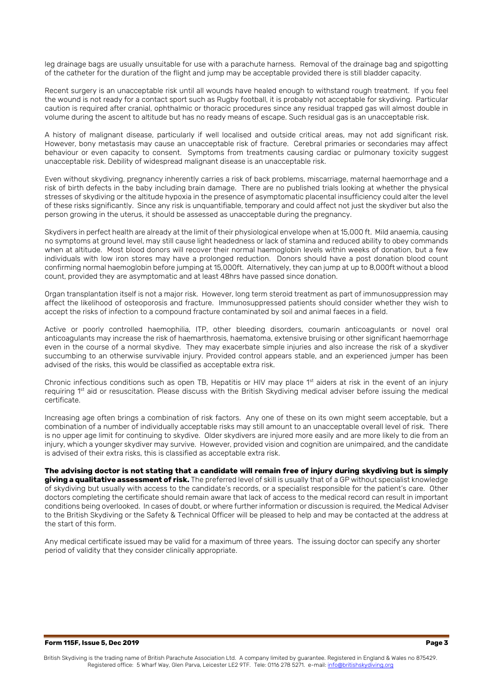leg drainage bags are usually unsuitable for use with a parachute harness. Removal of the drainage bag and spigotting of the catheter for the duration of the flight and jump may be acceptable provided there is still bladder capacity.

Recent surgery is an unacceptable risk until all wounds have healed enough to withstand rough treatment. If you feel the wound is not ready for a contact sport such as Rugby football, it is probably not acceptable for skydiving. Particular caution is required after cranial, ophthalmic or thoracic procedures since any residual trapped gas will almost double in volume during the ascent to altitude but has no ready means of escape. Such residual gas is an unacceptable risk.

A history of malignant disease, particularly if well localised and outside critical areas, may not add significant risk. However, bony metastasis may cause an unacceptable risk of fracture. Cerebral primaries or secondaries may affect behaviour or even capacity to consent. Symptoms from treatments causing cardiac or pulmonary toxicity suggest unacceptable risk. Debility of widespread malignant disease is an unacceptable risk.

Even without skydiving, pregnancy inherently carries a risk of back problems, miscarriage, maternal haemorrhage and a risk of birth defects in the baby including brain damage. There are no published trials looking at whether the physical stresses of skydiving or the altitude hypoxia in the presence of asymptomatic placental insufficiency could alter the level of these risks significantly. Since any risk is unquantifiable, temporary and could affect not just the skydiver but also the person growing in the uterus, it should be assessed as unacceptable during the pregnancy.

Skydivers in perfect health are already at the limit of their physiological envelope when at 15,000 ft. Mild anaemia, causing no symptoms at ground level, may still cause light headedness or lack of stamina and reduced ability to obey commands when at altitude. Most blood donors will recover their normal haemoglobin levels within weeks of donation, but a few individuals with low iron stores may have a prolonged reduction. Donors should have a post donation blood count confirming normal haemoglobin before jumping at 15,000ft. Alternatively, they can jump at up to 8,000ft without a blood count, provided they are asymptomatic and at least 48hrs have passed since donation.

Organ transplantation itself is not a major risk. However, long term steroid treatment as part of immunosuppression may affect the likelihood of osteoporosis and fracture. Immunosuppressed patients should consider whether they wish to accept the risks of infection to a compound fracture contaminated by soil and animal faeces in a field.

Active or poorly controlled haemophilia, ITP, other bleeding disorders, coumarin anticoagulants or novel oral anticoagulants may increase the risk of haemarthrosis, haematoma, extensive bruising or other significant haemorrhage even in the course of a normal skydive. They may exacerbate simple injuries and also increase the risk of a skydiver succumbing to an otherwise survivable injury. Provided control appears stable, and an experienced jumper has been advised of the risks, this would be classified as acceptable extra risk.

Chronic infectious conditions such as open TB, Hepatitis or HIV may place  $1<sup>st</sup>$  aiders at risk in the event of an injury requiring 1st aid or resuscitation. Please discuss with the British Skydiving medical adviser before issuing the medical certificate.

Increasing age often brings a combination of risk factors. Any one of these on its own might seem acceptable, but a combination of a number of individually acceptable risks may still amount to an unacceptable overall level of risk. There is no upper age limit for continuing to skydive. Older skydivers are injured more easily and are more likely to die from an injury, which a younger skydiver may survive. However, provided vision and cognition are unimpaired, and the candidate is advised of their extra risks, this is classified as acceptable extra risk.

**The advising doctor is not stating that a candidate will remain free of injury during skydiving but is simply giving a qualitative assessment of risk.** The preferred level of skill is usually that of a GP without specialist knowledge of skydiving but usually with access to the candidate's records, or a specialist responsible for the patient's care. Other doctors completing the certificate should remain aware that lack of access to the medical record can result in important conditions being overlooked. In cases of doubt, or where further information or discussion is required, the Medical Adviser to the British Skydiving or the Safety & Technical Officer will be pleased to help and may be contacted at the address at the start of this form.

Any medical certificate issued may be valid for a maximum of three years. The issuing doctor can specify any shorter period of validity that they consider clinically appropriate.

#### **Form 115F, Issue 5, Dec 2019 Page 3**